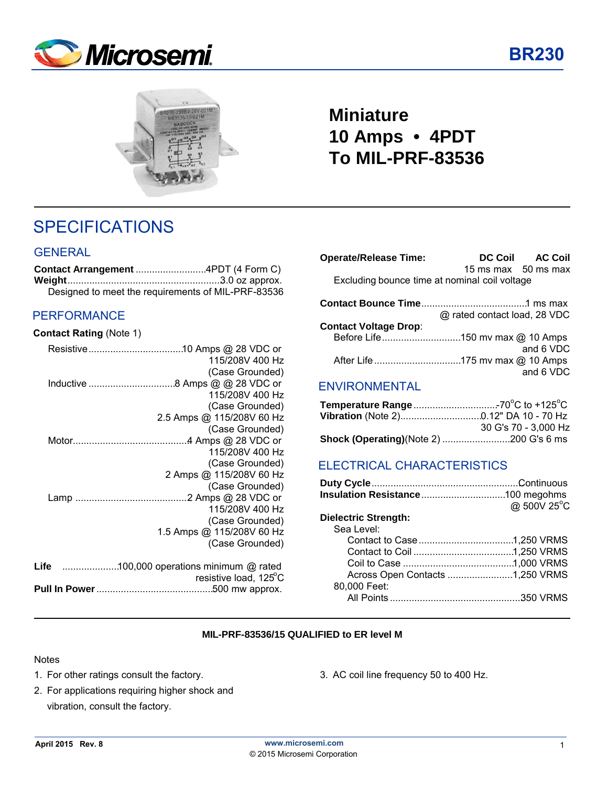



## **Miniature 10 Amps • 4PDT To MIL-PRF-83536**

## SPECIFICATIONS

#### **GENERAL**

| Designed to meet the requirements of MIL-PRF-83536 |  |
|----------------------------------------------------|--|

#### PERFORMANCE

#### **Contact Rating** (Note 1)

|      | 115/208V 400 Hz           |
|------|---------------------------|
|      | (Case Grounded)           |
|      |                           |
|      | 115/208V 400 Hz           |
|      | (Case Grounded)           |
|      | 2.5 Amps @ 115/208V 60 Hz |
|      | (Case Grounded)           |
|      |                           |
|      | 115/208V 400 Hz           |
|      | (Case Grounded)           |
|      | 2 Amps @ 115/208V 60 Hz   |
|      | (Case Grounded)           |
|      |                           |
|      | 115/208V 400 Hz           |
|      | (Case Grounded)           |
|      | 1.5 Amps @ 115/208V 60 Hz |
|      | (Case Grounded)           |
| Life |                           |
|      | resistive load, 125°C     |
|      |                           |
|      |                           |

| <b>Operate/Release Time:</b>                  |                              | DC Coil AC Coil |
|-----------------------------------------------|------------------------------|-----------------|
|                                               | 15 ms max 50 ms max          |                 |
| Excluding bounce time at nominal coil voltage |                              |                 |
|                                               |                              |                 |
|                                               | @ rated contact load, 28 VDC |                 |
| <b>Contact Voltage Drop:</b>                  |                              |                 |
|                                               |                              |                 |
|                                               |                              | and 6 VDC       |
|                                               |                              |                 |
|                                               |                              | and 6 VDC       |
| <b>ENVIRONMENTAL</b>                          |                              |                 |
|                                               |                              |                 |

| 30 G's 70 - 3,000 Hz |
|----------------------|
|                      |

### ELECTRICAL CHARACTERISTICS

|                                 | @ 500V 25°C |
|---------------------------------|-------------|
| <b>Dielectric Strength:</b>     |             |
| Sea Level:                      |             |
|                                 |             |
|                                 |             |
|                                 |             |
| Across Open Contacts 1,250 VRMS |             |
| 80,000 Feet:                    |             |
|                                 |             |
|                                 |             |

#### **MIL-PRF-83536/15 QUALIFIED to ER level M**

#### Notes

- 
- 2. For applications requiring higher shock and vibration, consult the factory.
- 1. For other ratings consult the factory. 3. AC coil line frequency 50 to 400 Hz.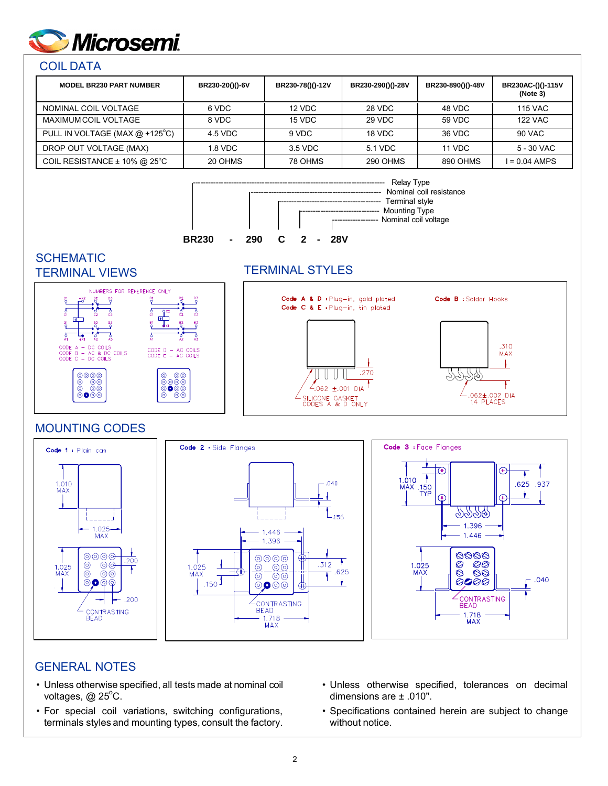

#### COIL DATA

| <b>MODEL BR230 PART NUMBER</b>   | BR230-20()()-6V | BR230-78()()-12V | BR230-290()()-28V | BR230-890()()-48V | BR230AC-()()-115V<br>(Note 3) |
|----------------------------------|-----------------|------------------|-------------------|-------------------|-------------------------------|
| NOMINAL COIL VOLTAGE             | 6 VDC           | 12 VDC           | 28 VDC            | 48 VDC            | <b>115 VAC</b>                |
| MAXIMUM COIL VOLTAGE             | 8 VDC           | 15 VDC           | 29 VDC            | 59 VDC            | <b>122 VAC</b>                |
| PULL IN VOLTAGE (MAX $@$ +125°C) | 4.5 VDC         | 9 VDC            | 18 VDC            | 36 VDC            | 90 VAC                        |
| DROP OUT VOLTAGE (MAX)           | 1.8 VDC         | 3.5 VDC          | 5.1 VDC           | 11 VDC            | 5 - 30 VAC                    |
| COIL RESISTANCE $\pm$ 10% @ 25°C | 20 OHMS         | 78 OHMS          | 290 OHMS          | 890 OHMS          | $I = 0.04$ AMPS               |



**SCHEMATIC** 

### TERMINAL VIEWS TERMINAL STYLES



### MOUNTING CODES



#### GENERAL NOTES

- Unless otherwise specified, all tests made at nominal coil voltages,  $@$  25 $°C$ .
- For special coil variations, switching configurations, terminals styles and mounting types, consult the factory.
- Unless otherwise specified, tolerances on decimal dimensions are ± .010".
- Specifications contained herein are subject to change without notice.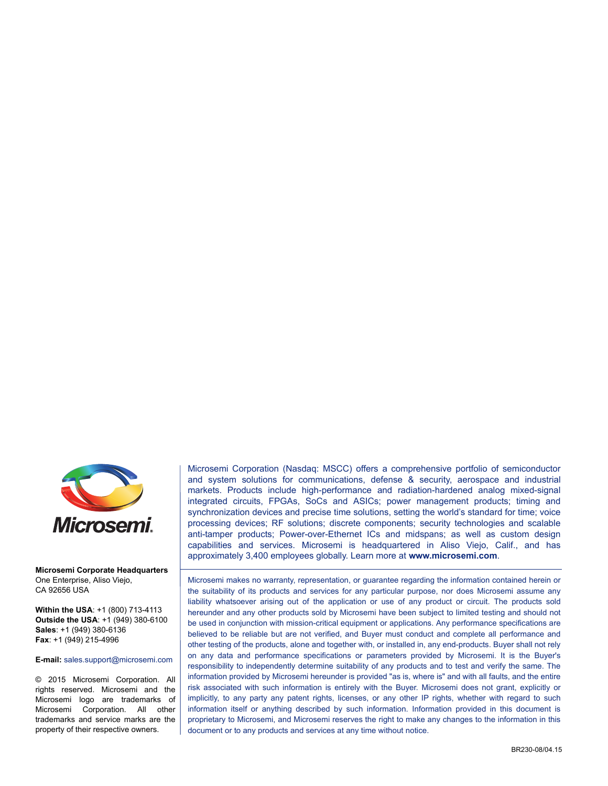

#### **Microsemi Corporate Headquarters** One Enterprise, Aliso Viejo, CA 92656 USA

**Within the USA**: +1 (800) 713-4113 **Outside the USA**: +1 (949) 380-6100 **Sales**: +1 (949) 380-6136 **Fax**: +1 (949) 215-4996

#### **E-mail:** [sales.support@microsemi.com](mailto:sales.support@microsemi.com)

© 2015 Microsemi Corporation. All rights reserved. Microsemi and the Microsemi logo are trademarks of Microsemi Corporation. All other trademarks and service marks are the property of their respective owners.

Microsemi Corporation (Nasdaq: MSCC) offers a comprehensive portfolio of semiconductor and system solutions for communications, defense & security, aerospace and industrial markets. Products include high-performance and radiation-hardened analog mixed-signal integrated circuits, FPGAs, SoCs and ASICs; power management products; timing and synchronization devices and precise time solutions, setting the world's standard for time; voice processing devices; RF solutions; discrete components; security technologies and scalable anti-tamper products; Power-over-Ethernet ICs and midspans; as well as custom design capabilities and services. Microsemi is headquartered in Aliso Viejo, Calif., and has approximately 3,400 employees globally. Learn more at**<www.microsemi.com>**.

Microsemi makes no warranty, representation, or guarantee regarding the information contained herein or the suitability of its products and services for any particular purpose, nor does Microsemi assume any liability whatsoever arising out of the application or use of any product or circuit. The products sold hereunder and any other products sold by Microsemi have been subject to limited testing and should not be used in conjunction with mission-critical equipment or applications. Any performance specifications are believed to be reliable but are not verified, and Buyer must conduct and complete all performance and other testing of the products, alone and together with, or installed in, any end-products. Buyer shall not rely on any data and performance specifications or parameters provided by Microsemi. It is the Buyer's responsibility to independently determine suitability of any products and to test and verify the same. The information provided by Microsemi hereunder is provided "as is, where is" and with all faults, and the entire risk associated with such information is entirely with the Buyer. Microsemi does not grant, explicitly or implicitly, to any party any patent rights, licenses, or any other IP rights, whether with regard to such information itself or anything described by such information. Information provided in this document is proprietary to Microsemi, and Microsemi reserves the right to make any changes to the information in this document or to any products and services at any time without notice.